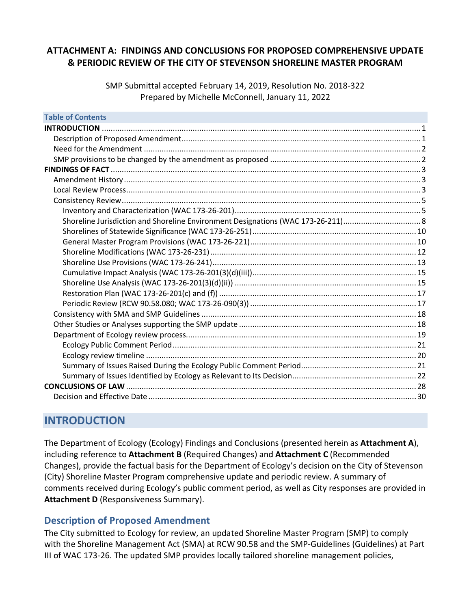# **ATTACHMENT A: FINDINGS AND CONCLUSIONS FOR PROPOSED COMPREHENSIVE UPDATE & PERIODIC REVIEW OF THE CITY OF STEVENSON SHORELINE MASTER PROGRAM**

SMP Submittal accepted February 14, 2019, Resolution No. 2018-322 Prepared by Michelle McConnell, January 11, 2022

| <b>Table of Contents</b> |  |
|--------------------------|--|
| <b>INTRODUCTION</b>      |  |
|                          |  |
|                          |  |
|                          |  |
|                          |  |
|                          |  |
|                          |  |
|                          |  |
|                          |  |
|                          |  |
|                          |  |
|                          |  |
|                          |  |
|                          |  |
|                          |  |
|                          |  |
|                          |  |
|                          |  |
|                          |  |
|                          |  |
|                          |  |
|                          |  |
|                          |  |
|                          |  |
|                          |  |
|                          |  |
|                          |  |

# <span id="page-0-0"></span>**INTRODUCTION**

<span id="page-0-1"></span>The Department of Ecology (Ecology) Findings and Conclusions (presented herein as **Attachment A**), including reference to **Attachment B** (Required Changes) and **Attachment C** (Recommended Changes), provide the factual basis for the Department of Ecology's decision on the City of Stevenson (City) Shoreline Master Program comprehensive update and periodic review. A summary of comments received during Ecology's public comment period, as well as City responses are provided in **Attachment D** (Responsiveness Summary).

# **Description of Proposed Amendment**

The City submitted to Ecology for review, an updated Shoreline Master Program (SMP) to comply with the Shoreline Management Act (SMA) at RCW 90.58 and the SMP-Guidelines (Guidelines) at Part III of WAC 173-26. The updated SMP provides locally tailored shoreline management policies,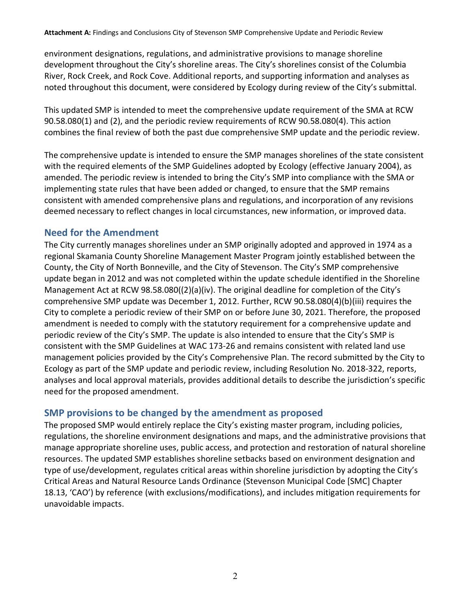environment designations, regulations, and administrative provisions to manage shoreline development throughout the City's shoreline areas. The City's shorelines consist of the Columbia River, Rock Creek, and Rock Cove. Additional reports, and supporting information and analyses as noted throughout this document, were considered by Ecology during review of the City's submittal.

This updated SMP is intended to meet the comprehensive update requirement of the SMA at RCW 90.58.080(1) and (2), and the periodic review requirements of RCW 90.58.080(4). This action combines the final review of both the past due comprehensive SMP update and the periodic review.

The comprehensive update is intended to ensure the SMP manages shorelines of the state consistent with the required elements of the SMP Guidelines adopted by Ecology (effective January 2004), as amended. The periodic review is intended to bring the City's SMP into compliance with the SMA or implementing state rules that have been added or changed, to ensure that the SMP remains consistent with amended comprehensive plans and regulations, and incorporation of any revisions deemed necessary to reflect changes in local circumstances, new information, or improved data.

# <span id="page-1-0"></span>**Need for the Amendment**

The City currently manages shorelines under an SMP originally adopted and approved in 1974 as a regional Skamania County Shoreline Management Master Program jointly established between the County, the City of North Bonneville, and the City of Stevenson. The City's SMP comprehensive update began in 2012 and was not completed within the update schedule identified in the Shoreline Management Act at RCW 98.58.080((2)(a)(iv). The original deadline for completion of the City's comprehensive SMP update was December 1, 2012. Further, RCW 90.58.080(4)(b)(iii) requires the City to complete a periodic review of their SMP on or before June 30, 2021. Therefore, the proposed amendment is needed to comply with the statutory requirement for a comprehensive update and periodic review of the City's SMP. The update is also intended to ensure that the City's SMP is consistent with the SMP Guidelines at WAC 173-26 and remains consistent with related land use management policies provided by the City's Comprehensive Plan. The record submitted by the City to Ecology as part of the SMP update and periodic review, including Resolution No. 2018-322, reports, analyses and local approval materials, provides additional details to describe the jurisdiction's specific need for the proposed amendment.

# <span id="page-1-1"></span>**SMP provisions to be changed by the amendment as proposed**

The proposed SMP would entirely replace the City's existing master program, including policies, regulations, the shoreline environment designations and maps, and the administrative provisions that manage appropriate shoreline uses, public access, and protection and restoration of natural shoreline resources. The updated SMP establishes shoreline setbacks based on environment designation and type of use/development, regulates critical areas within shoreline jurisdiction by adopting the City's Critical Areas and Natural Resource Lands Ordinance (Stevenson Municipal Code [SMC] Chapter 18.13, 'CAO') by reference (with exclusions/modifications), and includes mitigation requirements for unavoidable impacts.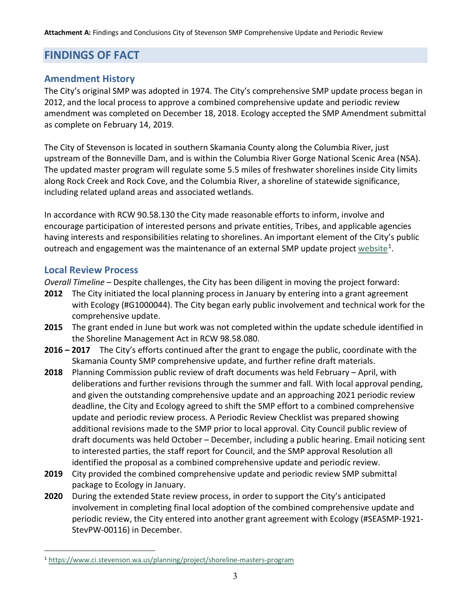# <span id="page-2-0"></span>**FINDINGS OF FACT**

# <span id="page-2-1"></span>**Amendment History**

The City's original SMP was adopted in 1974. The City's comprehensive SMP update process began in 2012, and the local process to approve a combined comprehensive update and periodic review amendment was completed on December 18, 2018. Ecology accepted the SMP Amendment submittal as complete on February 14, 2019.

The City of Stevenson is located in southern Skamania County along the Columbia River, just upstream of the Bonneville Dam, and is within the Columbia River Gorge National Scenic Area (NSA). The updated master program will regulate some 5.5 miles of freshwater shorelines inside City limits along Rock Creek and Rock Cove, and the Columbia River, a shoreline of statewide significance, including related upland areas and associated wetlands.

In accordance with RCW 90.58.130 the City made reasonable efforts to inform, involve and encourage participation of interested persons and private entities, Tribes, and applicable agencies having interests and responsibilities relating to shorelines. An important element of the City's public outreach and engagement was the maintenance of an external SMP update project [website](https://www.ci.stevenson.wa.us/planning/project/shoreline-masters-program)<sup>[1](#page-2-3)</sup>.

## <span id="page-2-2"></span>**Local Review Process**

 $\overline{a}$ 

*Overall Timeline –* Despite challenges, the City has been diligent in moving the project forward:

- **2012** The City initiated the local planning process in January by entering into a grant agreement with Ecology (#G1000044). The City began early public involvement and technical work for the comprehensive update.
- **2015** The grant ended in June but work was not completed within the update schedule identified in the Shoreline Management Act in RCW 98.58.080.
- **2016 – 2017** The City's efforts continued after the grant to engage the public, coordinate with the Skamania County SMP comprehensive update, and further refine draft materials.
- **2018** Planning Commission public review of draft documents was held February April, with deliberations and further revisions through the summer and fall. With local approval pending, and given the outstanding comprehensive update and an approaching 2021 periodic review deadline, the City and Ecology agreed to shift the SMP effort to a combined comprehensive update and periodic review process. A Periodic Review Checklist was prepared showing additional revisions made to the SMP prior to local approval. City Council public review of draft documents was held October – December, including a public hearing. Email noticing sent to interested parties, the staff report for Council, and the SMP approval Resolution all identified the proposal as a combined comprehensive update and periodic review.
- **2019** City provided the combined comprehensive update and periodic review SMP submittal package to Ecology in January.
- **2020** During the extended State review process, in order to support the City's anticipated involvement in completing final local adoption of the combined comprehensive update and periodic review, the City entered into another grant agreement with Ecology (#SEASMP-1921- StevPW-00116) in December.

<span id="page-2-3"></span><sup>1</sup> <https://www.ci.stevenson.wa.us/planning/project/shoreline-masters-program>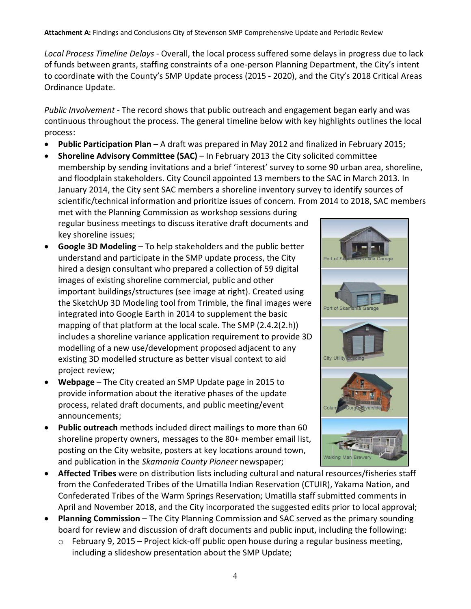*Local Process Timeline Delays* - Overall, the local process suffered some delays in progress due to lack of funds between grants, staffing constraints of a one-person Planning Department, the City's intent to coordinate with the County's SMP Update process (2015 - 2020), and the City's 2018 Critical Areas Ordinance Update.

*Public Involvement* - The record shows that public outreach and engagement began early and was continuous throughout the process. The general timeline below with key highlights outlines the local process:

- **Public Participation Plan –** A draft was prepared in May 2012 and finalized in February 2015;
- **Shoreline Advisory Committee (SAC)** In February 2013 the City solicited committee membership by sending invitations and a brief 'interest' survey to some 90 urban area, shoreline, and floodplain stakeholders. City Council appointed 13 members to the SAC in March 2013. In January 2014, the City sent SAC members a shoreline inventory survey to identify sources of scientific/technical information and prioritize issues of concern. From 2014 to 2018, SAC members met with the Planning Commission as workshop sessions during regular business meetings to discuss iterative draft documents and key shoreline issues;
- **Google 3D Modeling** To help stakeholders and the public better understand and participate in the SMP update process, the City hired a design consultant who prepared a collection of 59 digital images of existing shoreline commercial, public and other important buildings/structures (see image at right). Created using the SketchUp 3D Modeling tool from Trimble, the final images were integrated into Google Earth in 2014 to supplement the basic mapping of that platform at the local scale. The SMP (2.4.2(2.h)) includes a shoreline variance application requirement to provide 3D modelling of a new use/development proposed adjacent to any existing 3D modelled structure as better visual context to aid project review;
- **Webpage** The City created an SMP Update page in 2015 to provide information about the iterative phases of the update process, related draft documents, and public meeting/event announcements;
- **Public outreach** methods included direct mailings to more than 60 shoreline property owners, messages to the 80+ member email list, posting on the City website, posters at key locations around town, and publication in the *Skamania County Pioneer* newspaper;
- **Affected Tribes** were on distribution lists including cultural and natural resources/fisheries staff from the Confederated Tribes of the Umatilla Indian Reservation (CTUIR), Yakama Nation, and Confederated Tribes of the Warm Springs Reservation; Umatilla staff submitted comments in April and November 2018, and the City incorporated the suggested edits prior to local approval;
- **Planning Commission** The City Planning Commission and SAC served as the primary sounding board for review and discussion of draft documents and public input, including the following:
	- o February 9, 2015 Project kick-off public open house during a regular business meeting, including a slideshow presentation about the SMP Update;

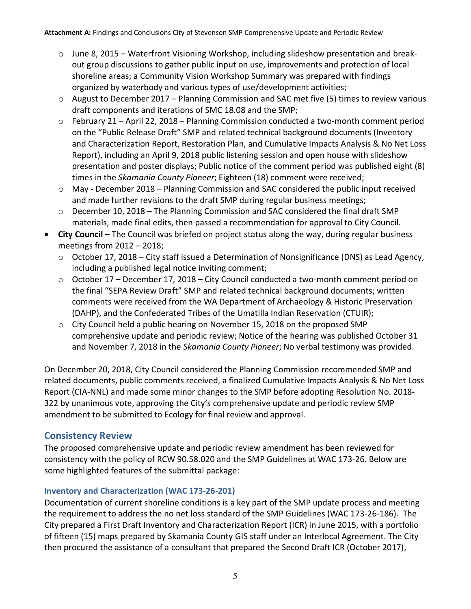- o June 8, 2015 Waterfront Visioning Workshop, including slideshow presentation and breakout group discussions to gather public input on use, improvements and protection of local shoreline areas; a Community Vision Workshop Summary was prepared with findings organized by waterbody and various types of use/development activities;
- $\circ$  August to December 2017 Planning Commission and SAC met five (5) times to review various draft components and iterations of SMC 18.08 and the SMP;
- o February 21 April 22, 2018 Planning Commission conducted a two-month comment period on the "Public Release Draft" SMP and related technical background documents (Inventory and Characterization Report, Restoration Plan, and Cumulative Impacts Analysis & No Net Loss Report), including an April 9, 2018 public listening session and open house with slideshow presentation and poster displays; Public notice of the comment period was published eight (8) times in the *Skamania County Pioneer*; Eighteen (18) comment were received;
- o May December 2018 Planning Commission and SAC considered the public input received and made further revisions to the draft SMP during regular business meetings;
- o December 10, 2018 The Planning Commission and SAC considered the final draft SMP materials, made final edits, then passed a recommendation for approval to City Council.
- **City Council** The Council was briefed on project status along the way, during regular business meetings from 2012 – 2018;
	- o October 17, 2018 City staff issued a Determination of Nonsignificance (DNS) as Lead Agency, including a published legal notice inviting comment;
	- o October 17 December 17, 2018 City Council conducted a two-month comment period on the final "SEPA Review Draft" SMP and related technical background documents; written comments were received from the WA Department of Archaeology & Historic Preservation (DAHP), and the Confederated Tribes of the Umatilla Indian Reservation (CTUIR);
	- o City Council held a public hearing on November 15, 2018 on the proposed SMP comprehensive update and periodic review; Notice of the hearing was published October 31 and November 7, 2018 in the *Skamania County Pioneer*; No verbal testimony was provided.

On December 20, 2018, City Council considered the Planning Commission recommended SMP and related documents, public comments received, a finalized Cumulative Impacts Analysis & No Net Loss Report (CIA-NNL) and made some minor changes to the SMP before adopting Resolution No. 2018- 322 by unanimous vote, approving the City's comprehensive update and periodic review SMP amendment to be submitted to Ecology for final review and approval.

# <span id="page-4-0"></span>**Consistency Review**

The proposed comprehensive update and periodic review amendment has been reviewed for consistency with the policy of RCW 90.58.020 and the SMP Guidelines at WAC 173-26. Below are some highlighted features of the submittal package:

## <span id="page-4-1"></span>**Inventory and Characterization (WAC 173-26-201)**

Documentation of current shoreline conditions is a key part of the SMP update process and meeting the requirement to address the no net loss standard of the SMP Guidelines (WAC 173-26-186). The City prepared a First Draft Inventory and Characterization Report (ICR) in June 2015, with a portfolio of fifteen (15) maps prepared by Skamania County GIS staff under an Interlocal Agreement. The City then procured the assistance of a consultant that prepared the Second Draft ICR (October 2017),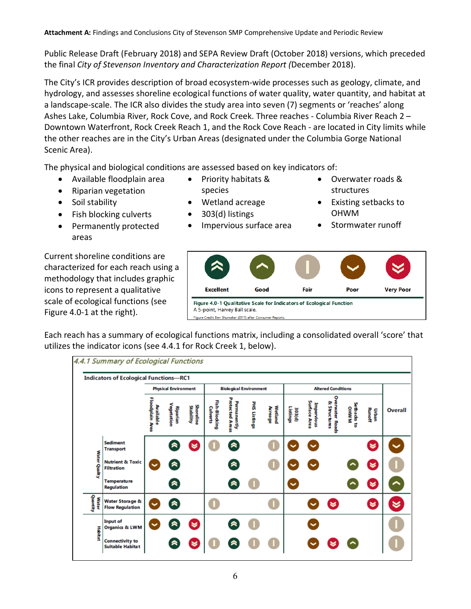Public Release Draft (February 2018) and SEPA Review Draft (October 2018) versions, which preceded the final *City of Stevenson Inventory and Characterization Report (*December 2018).

The City's ICR provides description of broad ecosystem-wide processes such as geology, climate, and hydrology, and assesses shoreline ecological functions of water quality, water quantity, and habitat at a landscape-scale. The ICR also divides the study area into seven (7) segments or 'reaches' along Ashes Lake, Columbia River, Rock Cove, and Rock Creek. Three reaches - Columbia River Reach 2 – Downtown Waterfront, Rock Creek Reach 1, and the Rock Cove Reach - are located in City limits while the other reaches are in the City's Urban Areas (designated under the Columbia Gorge National Scenic Area).

The physical and biological conditions are assessed based on key indicators of:

• Available floodplain area

• Riparian vegetation

• Fish blocking culverts • Permanently protected

• Soil stability

areas

• Priority habitats & species

• Impervious surface area

- Wetland acreage
- 303(d) listings

**Excellent** 

A 5-point, Harvey Ball scale. Figure Credit Ben Shumaker (2017) after Consu

structures • Existing setbacks to

• Overwater roads &

OHWM

Poor

• Stormwater runoff

**Very Poor** 

Current shoreline conditions are characterized for each reach using a methodology that includes graphic icons to represent a qualitative scale of ecological functions (see Figure 4.0-1 at the right).

Each reach has a summary of ecological functions matrix, including a consolidated overall 'score' that utilizes the indicator icons (see 4.4.1 for Rock Creek 1, below).

Good

Figure 4.0-1 Qualitative Scale for Indicators of Ecological Function

mer Reports

Fair

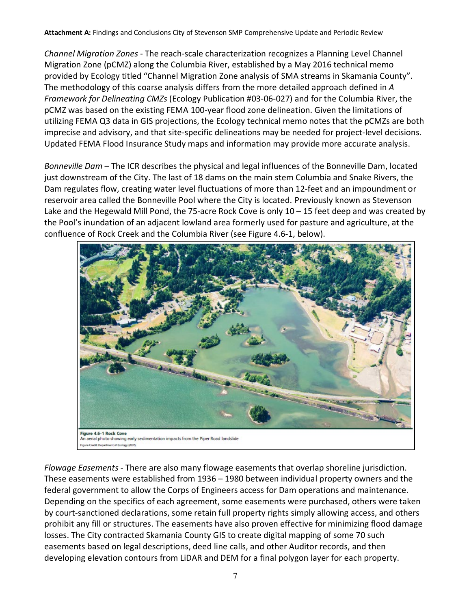*Channel Migration Zones* - The reach-scale characterization recognizes a Planning Level Channel Migration Zone (pCMZ) along the Columbia River, established by a May 2016 technical memo provided by Ecology titled "Channel Migration Zone analysis of SMA streams in Skamania County". The methodology of this coarse analysis differs from the more detailed approach defined in *A Framework for Delineating CMZs* (Ecology Publication #03-06-027) and for the Columbia River, the pCMZ was based on the existing FEMA 100-year flood zone delineation. Given the limitations of utilizing FEMA Q3 data in GIS projections, the Ecology technical memo notes that the pCMZs are both imprecise and advisory, and that site-specific delineations may be needed for project-level decisions. Updated FEMA Flood Insurance Study maps and information may provide more accurate analysis.

*Bonneville Dam* – The ICR describes the physical and legal influences of the Bonneville Dam, located just downstream of the City. The last of 18 dams on the main stem Columbia and Snake Rivers, the Dam regulates flow, creating water level fluctuations of more than 12-feet and an impoundment or reservoir area called the Bonneville Pool where the City is located. Previously known as Stevenson Lake and the Hegewald Mill Pond, the 75-acre Rock Cove is only 10 – 15 feet deep and was created by the Pool's inundation of an adjacent lowland area formerly used for pasture and agriculture, at the confluence of Rock Creek and the Columbia River (see Figure 4.6-1, below).



*Flowage Easements* - There are also many flowage easements that overlap shoreline jurisdiction. These easements were established from 1936 – 1980 between individual property owners and the federal government to allow the Corps of Engineers access for Dam operations and maintenance. Depending on the specifics of each agreement, some easements were purchased, others were taken by court-sanctioned declarations, some retain full property rights simply allowing access, and others prohibit any fill or structures. The easements have also proven effective for minimizing flood damage losses. The City contracted Skamania County GIS to create digital mapping of some 70 such easements based on legal descriptions, deed line calls, and other Auditor records, and then developing elevation contours from LiDAR and DEM for a final polygon layer for each property.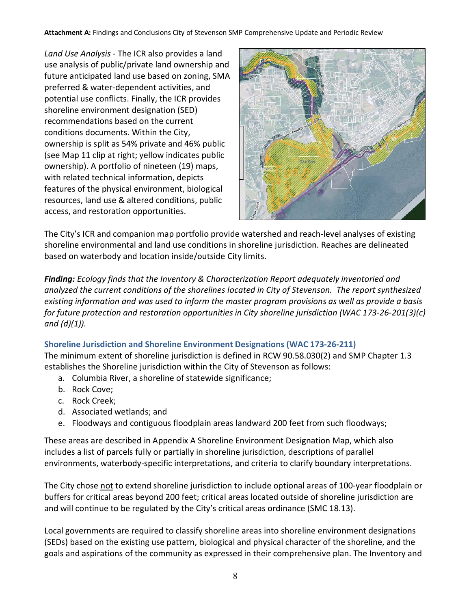*Land Use Analysis* - The ICR also provides a land use analysis of public/private land ownership and future anticipated land use based on zoning, SMA preferred & water-dependent activities, and potential use conflicts. Finally, the ICR provides shoreline environment designation (SED) recommendations based on the current conditions documents. Within the City, ownership is split as 54% private and 46% public (see Map 11 clip at right; yellow indicates public ownership). A portfolio of nineteen (19) maps, with related technical information, depicts features of the physical environment, biological resources, land use & altered conditions, public access, and restoration opportunities.



The City's ICR and companion map portfolio provide watershed and reach-level analyses of existing shoreline environmental and land use conditions in shoreline jurisdiction. Reaches are delineated based on waterbody and location inside/outside City limits.

*Finding: Ecology finds that the Inventory & Characterization Report adequately inventoried and analyzed the current conditions of the shorelines located in City of Stevenson. The report synthesized existing information and was used to inform the master program provisions as well as provide a basis for future protection and restoration opportunities in City shoreline jurisdiction (WAC 173-26-201(3)(c) and (d)(1)).*

## <span id="page-7-0"></span>**Shoreline Jurisdiction and Shoreline Environment Designations (WAC 173-26-211)**

The minimum extent of shoreline jurisdiction is defined in RCW 90.58.030(2) and SMP Chapter 1.3 establishes the Shoreline jurisdiction within the City of Stevenson as follows:

- a. Columbia River, a shoreline of statewide significance;
- b. Rock Cove;
- c. Rock Creek;
- d. Associated wetlands; and
- e. Floodways and contiguous floodplain areas landward 200 feet from such floodways;

These areas are described in Appendix A Shoreline Environment Designation Map, which also includes a list of parcels fully or partially in shoreline jurisdiction, descriptions of parallel environments, waterbody-specific interpretations, and criteria to clarify boundary interpretations.

The City chose not to extend shoreline jurisdiction to include optional areas of 100-year floodplain or buffers for critical areas beyond 200 feet; critical areas located outside of shoreline jurisdiction are and will continue to be regulated by the City's critical areas ordinance (SMC 18.13).

Local governments are required to classify shoreline areas into shoreline environment designations (SEDs) based on the existing use pattern, biological and physical character of the shoreline, and the goals and aspirations of the community as expressed in their comprehensive plan. The Inventory and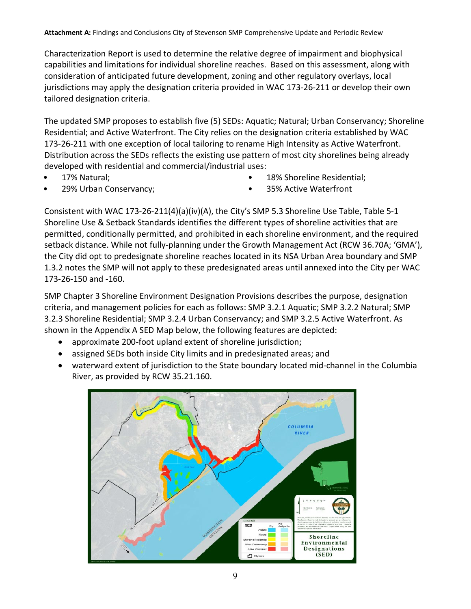Characterization Report is used to determine the relative degree of impairment and biophysical capabilities and limitations for individual shoreline reaches. Based on this assessment, along with consideration of anticipated future development, zoning and other regulatory overlays, local jurisdictions may apply the designation criteria provided in WAC 173-26-211 or develop their own tailored designation criteria.

The updated SMP proposes to establish five (5) SEDs: Aquatic; Natural; Urban Conservancy; Shoreline Residential; and Active Waterfront. The City relies on the designation criteria established by WAC 173-26-211 with one exception of local tailoring to rename High Intensity as Active Waterfront. Distribution across the SEDs reflects the existing use pattern of most city shorelines being already developed with residential and commercial/industrial uses:

• 17% Natural;

18% Shoreline Residential:

• 29% Urban Conservancy;

• 35% Active Waterfront

Consistent with WAC 173-26-211(4)(a)(iv)(A), the City's SMP 5.3 Shoreline Use Table, Table 5-1 Shoreline Use & Setback Standards identifies the different types of shoreline activities that are permitted, conditionally permitted, and prohibited in each shoreline environment, and the required setback distance. While not fully-planning under the Growth Management Act (RCW 36.70A; 'GMA'), the City did opt to predesignate shoreline reaches located in its NSA Urban Area boundary and SMP 1.3.2 notes the SMP will not apply to these predesignated areas until annexed into the City per WAC 173-26-150 and -160.

SMP Chapter 3 Shoreline Environment Designation Provisions describes the purpose, designation criteria, and management policies for each as follows: SMP 3.2.1 Aquatic; SMP 3.2.2 Natural; SMP 3.2.3 Shoreline Residential; SMP 3.2.4 Urban Conservancy; and SMP 3.2.5 Active Waterfront. As shown in the Appendix A SED Map below, the following features are depicted:

- approximate 200-foot upland extent of shoreline jurisdiction;
- assigned SEDs both inside City limits and in predesignated areas; and
- waterward extent of jurisdiction to the State boundary located mid-channel in the Columbia River, as provided by RCW 35.21.160.

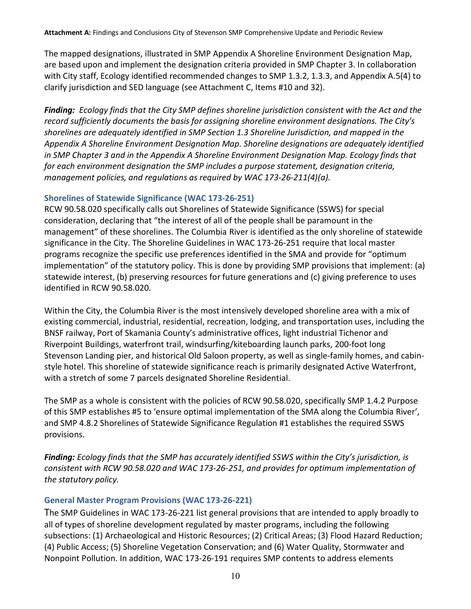The mapped designations, illustrated in SMP Appendix A Shoreline Environment Designation Map, are based upon and implement the designation criteria provided in SMP Chapter 3. In collaboration with City staff, Ecology identified recommended changes to SMP 1.3.2, 1.3.3, and Appendix A.5(4) to clarify jurisdiction and SED language (see Attachment C, Items #10 and 32).

*Finding: Ecology finds that the City SMP defines shoreline jurisdiction consistent with the Act and the record sufficiently documents the basis for assigning shoreline environment designations. The City's shorelines are adequately identified in SMP Section 1.3 Shoreline Jurisdiction, and mapped in the Appendix A Shoreline Environment Designation Map. Shoreline designations are adequately identified in SMP Chapter 3 and in the Appendix A Shoreline Environment Designation Map. Ecology finds that for each environment designation the SMP includes a purpose statement, designation criteria, management policies, and regulations as required by WAC 173-26-211(4)(a).* 

## <span id="page-9-0"></span>**Shorelines of Statewide Significance (WAC 173-26-251)**

RCW 90.58.020 specifically calls out Shorelines of Statewide Significance (SSWS) for special consideration, declaring that "the interest of all of the people shall be paramount in the management" of these shorelines. The Columbia River is identified as the only shoreline of statewide significance in the City. The Shoreline Guidelines in WAC 173-26-251 require that local master programs recognize the specific use preferences identified in the SMA and provide for "optimum implementation" of the statutory policy. This is done by providing SMP provisions that implement: (a) statewide interest, (b) preserving resources for future generations and (c) giving preference to uses identified in RCW 90.58.020.

Within the City, the Columbia River is the most intensively developed shoreline area with a mix of existing commercial, industrial, residential, recreation, lodging, and transportation uses, including the BNSF railway, Port of Skamania County's administrative offices, light industrial Tichenor and Riverpoint Buildings, waterfront trail, windsurfing/kiteboarding launch parks, 200-foot long Stevenson Landing pier, and historical Old Saloon property, as well as single-family homes, and cabinstyle hotel. This shoreline of statewide significance reach is primarily designated Active Waterfront, with a stretch of some 7 parcels designated Shoreline Residential.

The SMP as a whole is consistent with the policies of RCW 90.58.020, specifically SMP 1.4.2 Purpose of this SMP establishes #5 to 'ensure optimal implementation of the SMA along the Columbia River', and SMP 4.8.2 Shorelines of Statewide Significance Regulation #1 establishes the required SSWS provisions.

*Finding: Ecology finds that the SMP has accurately identified SSWS within the City's jurisdiction, is consistent with RCW 90.58.020 and WAC 173-26-251, and provides for optimum implementation of the statutory policy.*

## <span id="page-9-1"></span>**General Master Program Provisions (WAC 173-26-221)**

The SMP Guidelines in WAC 173-26-221 list general provisions that are intended to apply broadly to all of types of shoreline development regulated by master programs, including the following subsections: (1) Archaeological and Historic Resources; (2) Critical Areas; (3) Flood Hazard Reduction; (4) Public Access; (5) Shoreline Vegetation Conservation; and (6) Water Quality, Stormwater and Nonpoint Pollution. In addition, WAC 173-26-191 requires SMP contents to address elements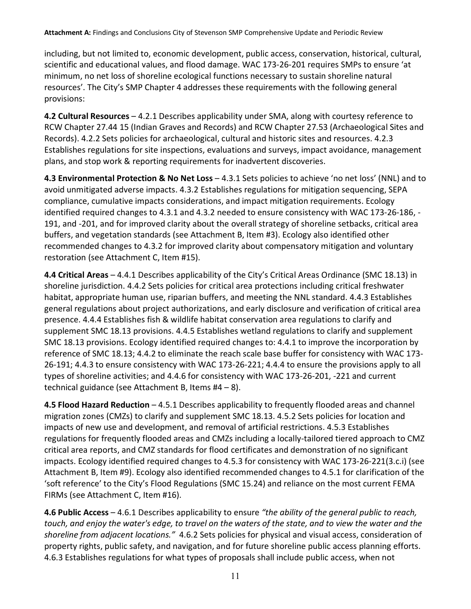including, but not limited to, economic development, public access, conservation, historical, cultural, scientific and educational values, and flood damage. WAC 173-26-201 requires SMPs to ensure 'at minimum, no net loss of shoreline ecological functions necessary to sustain shoreline natural resources'. The City's SMP Chapter 4 addresses these requirements with the following general provisions:

**4.2 Cultural Resources** – 4.2.1 Describes applicability under SMA, along with courtesy reference to RCW Chapter 27.44 15 (Indian Graves and Records) and RCW Chapter 27.53 (Archaeological Sites and Records). 4.2.2 Sets policies for archaeological, cultural and historic sites and resources. 4.2.3 Establishes regulations for site inspections, evaluations and surveys, impact avoidance, management plans, and stop work & reporting requirements for inadvertent discoveries.

**4.3 Environmental Protection & No Net Loss** – 4.3.1 Sets policies to achieve 'no net loss' (NNL) and to avoid unmitigated adverse impacts. 4.3.2 Establishes regulations for mitigation sequencing, SEPA compliance, cumulative impacts considerations, and impact mitigation requirements. Ecology identified required changes to 4.3.1 and 4.3.2 needed to ensure consistency with WAC 173-26-186, - 191, and -201, and for improved clarity about the overall strategy of shoreline setbacks, critical area buffers, and vegetation standards (see Attachment B, Item #3). Ecology also identified other recommended changes to 4.3.2 for improved clarity about compensatory mitigation and voluntary restoration (see Attachment C, Item #15).

**4.4 Critical Areas** – 4.4.1 Describes applicability of the City's Critical Areas Ordinance (SMC 18.13) in shoreline jurisdiction. 4.4.2 Sets policies for critical area protections including critical freshwater habitat, appropriate human use, riparian buffers, and meeting the NNL standard. 4.4.3 Establishes general regulations about project authorizations, and early disclosure and verification of critical area presence. 4.4.4 Establishes fish & wildlife habitat conservation area regulations to clarify and supplement SMC 18.13 provisions. 4.4.5 Establishes wetland regulations to clarify and supplement SMC 18.13 provisions. Ecology identified required changes to: 4.4.1 to improve the incorporation by reference of SMC 18.13; 4.4.2 to eliminate the reach scale base buffer for consistency with WAC 173- 26-191; 4.4.3 to ensure consistency with WAC 173-26-221; 4.4.4 to ensure the provisions apply to all types of shoreline activities; and 4.4.6 for consistency with WAC 173-26-201, -221 and current technical guidance (see Attachment B, Items #4 – 8).

**4.5 Flood Hazard Reduction** – 4.5.1 Describes applicability to frequently flooded areas and channel migration zones (CMZs) to clarify and supplement SMC 18.13. 4.5.2 Sets policies for location and impacts of new use and development, and removal of artificial restrictions. 4.5.3 Establishes regulations for frequently flooded areas and CMZs including a locally-tailored tiered approach to CMZ critical area reports, and CMZ standards for flood certificates and demonstration of no significant impacts. Ecology identified required changes to 4.5.3 for consistency with WAC 173-26-221(3.c.i) (see Attachment B, Item #9). Ecology also identified recommended changes to 4.5.1 for clarification of the 'soft reference' to the City's Flood Regulations (SMC 15.24) and reliance on the most current FEMA FIRMs (see Attachment C, Item #16).

**4.6 Public Access** – 4.6.1 Describes applicability to ensure *"the ability of the general public to reach, touch, and enjoy the water's edge, to travel on the waters of the state, and to view the water and the shoreline from adjacent locations."* 4.6.2 Sets policies for physical and visual access, consideration of property rights, public safety, and navigation, and for future shoreline public access planning efforts. 4.6.3 Establishes regulations for what types of proposals shall include public access, when not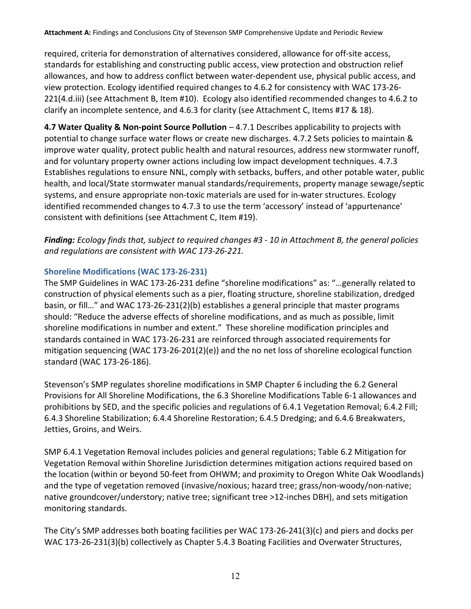required, criteria for demonstration of alternatives considered, allowance for off-site access, standards for establishing and constructing public access, view protection and obstruction relief allowances, and how to address conflict between water-dependent use, physical public access, and view protection. Ecology identified required changes to 4.6.2 for consistency with WAC 173-26- 221(4.d.iii) (see Attachment B, Item #10). Ecology also identified recommended changes to 4.6.2 to clarify an incomplete sentence, and 4.6.3 for clarity (see Attachment C, Items #17 & 18).

**4.7 Water Quality & Non-point Source Pollution** – 4.7.1 Describes applicability to projects with potential to change surface water flows or create new discharges. 4.7.2 Sets policies to maintain & improve water quality, protect public health and natural resources, address new stormwater runoff, and for voluntary property owner actions including low impact development techniques. 4.7.3 Establishes regulations to ensure NNL, comply with setbacks, buffers, and other potable water, public health, and local/State stormwater manual standards/requirements, property manage sewage/septic systems, and ensure appropriate non-toxic materials are used for in-water structures. Ecology identified recommended changes to 4.7.3 to use the term 'accessory' instead of 'appurtenance' consistent with definitions (see Attachment C, Item #19).

*Finding: Ecology finds that, subject to required changes #3 - 10 in Attachment B, the general policies and regulations are consistent with WAC 173-26-221.*

## <span id="page-11-0"></span>**Shoreline Modifications (WAC 173-26-231)**

The SMP Guidelines in WAC 173-26-231 define "shoreline modifications" as: "…generally related to construction of physical elements such as a pier, floating structure, shoreline stabilization, dredged basin, or fill…" and WAC 173-26-231(2)(b) establishes a general principle that master programs should: "Reduce the adverse effects of shoreline modifications, and as much as possible, limit shoreline modifications in number and extent." These shoreline modification principles and standards contained in WAC 173-26-231 are reinforced through associated requirements for mitigation sequencing (WAC 173-26-201(2)(e)) and the no net loss of shoreline ecological function standard (WAC 173-26-186).

Stevenson's SMP regulates shoreline modifications in SMP Chapter 6 including the 6.2 General Provisions for All Shoreline Modifications, the 6.3 Shoreline Modifications Table 6-1 allowances and prohibitions by SED, and the specific policies and regulations of 6.4.1 Vegetation Removal; 6.4.2 Fill; 6.4.3 Shoreline Stabilization; 6.4.4 Shoreline Restoration; 6.4.5 Dredging; and 6.4.6 Breakwaters, Jetties, Groins, and Weirs.

SMP 6.4.1 Vegetation Removal includes policies and general regulations; Table 6.2 Mitigation for Vegetation Removal within Shoreline Jurisdiction determines mitigation actions required based on the location (within or beyond 50-feet from OHWM; and proximity to Oregon White Oak Woodlands) and the type of vegetation removed (invasive/noxious; hazard tree; grass/non-woody/non-native; native groundcover/understory; native tree; significant tree >12-inches DBH), and sets mitigation monitoring standards.

The City's SMP addresses both boating facilities per WAC 173-26-241(3)(c) and piers and docks per WAC 173-26-231(3)(b) collectively as Chapter 5.4.3 Boating Facilities and Overwater Structures,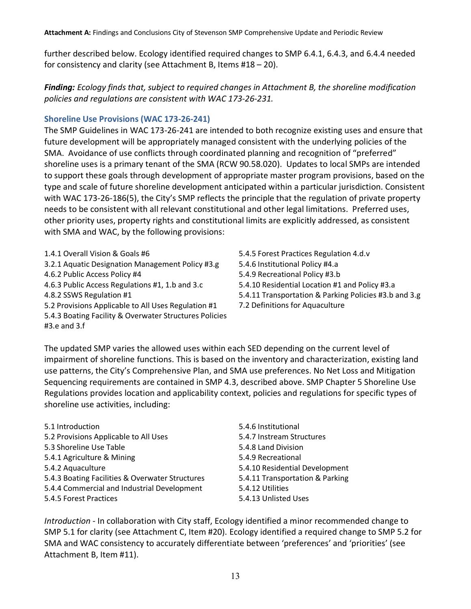further described below. Ecology identified required changes to SMP 6.4.1, 6.4.3, and 6.4.4 needed for consistency and clarity (see Attachment B, Items #18 – 20).

*Finding: Ecology finds that, subject to required changes in Attachment B, the shoreline modification policies and regulations are consistent with WAC 173-26-231.* 

## <span id="page-12-0"></span>**Shoreline Use Provisions (WAC 173-26-241)**

The SMP Guidelines in WAC 173-26-241 are intended to both recognize existing uses and ensure that future development will be appropriately managed consistent with the underlying policies of the SMA. Avoidance of use conflicts through coordinated planning and recognition of "preferred" shoreline uses is a primary tenant of the SMA (RCW 90.58.020). Updates to local SMPs are intended to support these goals through development of appropriate master program provisions, based on the type and scale of future shoreline development anticipated within a particular jurisdiction. Consistent with WAC 173-26-186(5), the City's SMP reflects the principle that the regulation of private property needs to be consistent with all relevant constitutional and other legal limitations. Preferred uses, other priority uses, property rights and constitutional limits are explicitly addressed, as consistent with SMA and WAC, by the following provisions:

- 1.4.1 Overall Vision & Goals #6 3.2.1 Aquatic Designation Management Policy #3.g
- 4.6.2 Public Access Policy #4
- 4.6.3 Public Access Regulations #1, 1.b and 3.c
- 4.8.2 SSWS Regulation #1
- 5.2 Provisions Applicable to All Uses Regulation #1
- 5.4.3 Boating Facility & Overwater Structures Policies
- #3.e and 3.f

5.4.5 Forest Practices Regulation 4.d.v 5.4.6 Institutional Policy #4.a 5.4.9 Recreational Policy #3.b 5.4.10 Residential Location #1 and Policy #3.a 5.4.11 Transportation & Parking Policies #3.b and 3.g 7.2 Definitions for Aquaculture

The updated SMP varies the allowed uses within each SED depending on the current level of impairment of shoreline functions. This is based on the inventory and characterization, existing land use patterns, the City's Comprehensive Plan, and SMA use preferences. No Net Loss and Mitigation Sequencing requirements are contained in SMP 4.3, described above. SMP Chapter 5 Shoreline Use Regulations provides location and applicability context, policies and regulations for specific types of shoreline use activities, including:

| 5.1 Introduction                                |
|-------------------------------------------------|
| 5.2 Provisions Applicable to All Uses           |
| 5.3 Shoreline Use Table                         |
| 5.4.1 Agriculture & Mining                      |
| 5.4.2 Aquaculture                               |
| 5.4.3 Boating Facilities & Overwater Structures |
| 5.4.4 Commercial and Industrial Development     |
| 5.4.5 Forest Practices                          |

5.4.6 Institutional 5.4.7 Instream Structures 5.4.8 Land Division 5.4.9 Recreational 5.4.10 Residential Development 5.4.11 Transportation & Parking 5.4.12 Utilities 5.4.13 Unlisted Uses

*Introduction* - In collaboration with City staff, Ecology identified a minor recommended change to SMP 5.1 for clarity (see Attachment C, Item #20). Ecology identified a required change to SMP 5.2 for SMA and WAC consistency to accurately differentiate between 'preferences' and 'priorities' (see Attachment B, Item #11).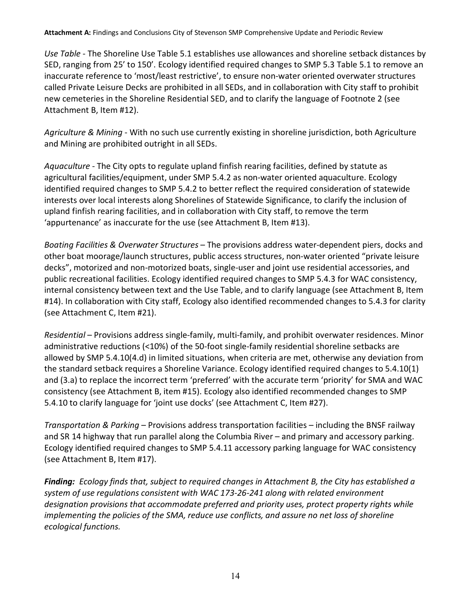*Use Table* - The Shoreline Use Table 5.1 establishes use allowances and shoreline setback distances by SED, ranging from 25' to 150'. Ecology identified required changes to SMP 5.3 Table 5.1 to remove an inaccurate reference to 'most/least restrictive', to ensure non-water oriented overwater structures called Private Leisure Decks are prohibited in all SEDs, and in collaboration with City staff to prohibit new cemeteries in the Shoreline Residential SED, and to clarify the language of Footnote 2 (see Attachment B, Item #12).

*Agriculture & Mining* - With no such use currently existing in shoreline jurisdiction, both Agriculture and Mining are prohibited outright in all SEDs.

*Aquaculture* - The City opts to regulate upland finfish rearing facilities, defined by statute as agricultural facilities/equipment, under SMP 5.4.2 as non-water oriented aquaculture. Ecology identified required changes to SMP 5.4.2 to better reflect the required consideration of statewide interests over local interests along Shorelines of Statewide Significance, to clarify the inclusion of upland finfish rearing facilities, and in collaboration with City staff, to remove the term 'appurtenance' as inaccurate for the use (see Attachment B, Item #13).

*Boating Facilities & Overwater Structures* – The provisions address water-dependent piers, docks and other boat moorage/launch structures, public access structures, non-water oriented "private leisure decks", motorized and non-motorized boats, single-user and joint use residential accessories, and public recreational facilities. Ecology identified required changes to SMP 5.4.3 for WAC consistency, internal consistency between text and the Use Table, and to clarify language (see Attachment B, Item #14). In collaboration with City staff, Ecology also identified recommended changes to 5.4.3 for clarity (see Attachment C, Item #21).

*Residential* – Provisions address single-family, multi-family, and prohibit overwater residences. Minor administrative reductions (<10%) of the 50-foot single-family residential shoreline setbacks are allowed by SMP 5.4.10(4.d) in limited situations, when criteria are met, otherwise any deviation from the standard setback requires a Shoreline Variance. Ecology identified required changes to 5.4.10(1) and (3.a) to replace the incorrect term 'preferred' with the accurate term 'priority' for SMA and WAC consistency (see Attachment B, item #15). Ecology also identified recommended changes to SMP 5.4.10 to clarify language for 'joint use docks' (see Attachment C, Item #27).

*Transportation & Parking* – Provisions address transportation facilities – including the BNSF railway and SR 14 highway that run parallel along the Columbia River – and primary and accessory parking. Ecology identified required changes to SMP 5.4.11 accessory parking language for WAC consistency (see Attachment B, Item #17).

*Finding: Ecology finds that, subject to required changes in Attachment B, the City has established a system of use regulations consistent with WAC 173-26-241 along with related environment designation provisions that accommodate preferred and priority uses, protect property rights while implementing the policies of the SMA, reduce use conflicts, and assure no net loss of shoreline ecological functions.*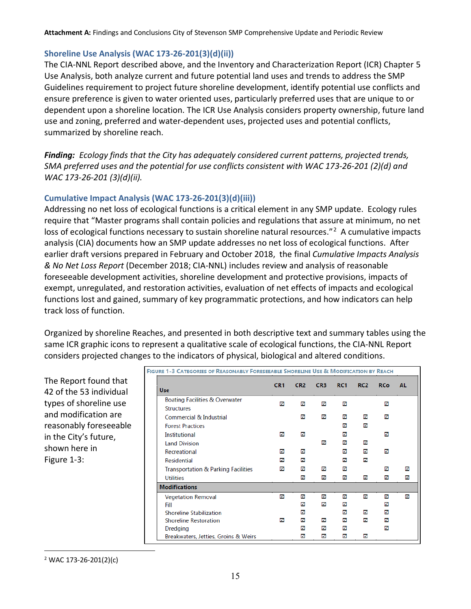## <span id="page-14-0"></span>**Shoreline Use Analysis (WAC 173-26-201(3)(d)(ii))**

The CIA-NNL Report described above, and the Inventory and Characterization Report (ICR) Chapter 5 Use Analysis, both analyze current and future potential land uses and trends to address the SMP Guidelines requirement to project future shoreline development, identify potential use conflicts and ensure preference is given to water oriented uses, particularly preferred uses that are unique to or dependent upon a shoreline location. The ICR Use Analysis considers property ownership, future land use and zoning, preferred and water-dependent uses, projected uses and potential conflicts, summarized by shoreline reach.

*Finding: Ecology finds that the City has adequately considered current patterns, projected trends, SMA preferred uses and the potential for use conflicts consistent with WAC 173-26-201 (2)(d) and WAC 173-26-201 (3)(d)(ii).*

## **Cumulative Impact Analysis (WAC 173-26-201(3)(d)(iii))**

Addressing no net loss of ecological functions is a critical element in any SMP update. Ecology rules require that "Master programs shall contain policies and regulations that assure at minimum, no net loss of ecological functions necessary to sustain shoreline natural resources."<sup>2</sup> A cumulative impacts analysis (CIA) documents how an SMP update addresses no net loss of ecological functions. After earlier draft versions prepared in February and October 2018, the final *Cumulative Impacts Analysis & No Net Loss Report* (December 2018; CIA-NNL) includes review and analysis of reasonable foreseeable development activities, shoreline development and protective provisions, impacts of exempt, unregulated, and restoration activities, evaluation of net effects of impacts and ecological functions lost and gained, summary of key programmatic protections, and how indicators can help track loss of function.

Organized by shoreline Reaches, and presented in both descriptive text and summary tables using the same ICR graphic icons to represent a qualitative scale of ecological functions, the CIA-NNL Report considers projected changes to the indicators of physical, biological and altered conditions.

The Report found that 42 of the 53 individual types of shoreline use and modification are reasonably foreseeable in the City's future, shown here in Figure 1-3:

| GURE 1-3 CATEGORIES OF REASONABLY FORESEEABLE SHORELINE USE & MODIFICATION BY REACH |                 |                 |                 |                 |                 |            |     |
|-------------------------------------------------------------------------------------|-----------------|-----------------|-----------------|-----------------|-----------------|------------|-----|
| <b>Use</b>                                                                          | CR <sub>1</sub> | CR <sub>2</sub> | CR <sub>3</sub> | RC <sub>1</sub> | RC <sub>2</sub> | <b>RCo</b> | AL. |
| Boating Facilities & Overwater                                                      | ☑               | ☑               | ☑               | ☑               |                 | ☑          |     |
| <b>Structures</b>                                                                   |                 |                 |                 |                 |                 |            |     |
| <b>Commercial &amp; Industrial</b>                                                  |                 | ☑               | ☑               | ☑               | ☑               | ☑          |     |
| <b>Forest Practices</b>                                                             |                 |                 |                 | М               | ✔               |            |     |
| <b>Institutional</b>                                                                | м               | ☑               |                 | М               |                 | ☑          |     |
| <b>Land Division</b>                                                                |                 |                 | ☑               | м               | м               |            |     |
| Recreational                                                                        | ☑               | ☑               |                 | ☑               | ☑               | ☑          |     |
| <b>Residential</b>                                                                  | ☑               | ☑               |                 | ☑               | ☑               |            |     |
| <b>Transportation &amp; Parking Facilities</b>                                      | ☑               | ☑               | ☑               | ☑               |                 | ☑          | ☑   |
| <b>Utilities</b>                                                                    |                 | ☑               | ☑               | ☑               | ☑               | ☑          | ☑   |
| <b>Modifications</b>                                                                |                 |                 |                 |                 |                 |            |     |
| <b>Vegetation Removal</b>                                                           | ☑               | ✓               | ✓               | ☑               | ☑               | ☑          | ☑   |
| Fill                                                                                |                 | ☑               | ☑               | ☑               |                 | ☑          |     |
| <b>Shoreline Stabilization</b>                                                      |                 | ☑               |                 | ☑               | ☑               | ✓          |     |
| <b>Shoreline Restoration</b>                                                        | ☑               | ☑               | ☑               | ☑               | М               | М          |     |
| Dredging                                                                            |                 | ☑               | ☑               | М               |                 | ☑          |     |
| Breakwaters, Jetties, Groins & Weirs                                                |                 | ☑               | ☑               | ☑               | ☑               |            |     |

FIG

<span id="page-14-1"></span><sup>2</sup> WAC 173-26-201(2)(c)

 $\overline{a}$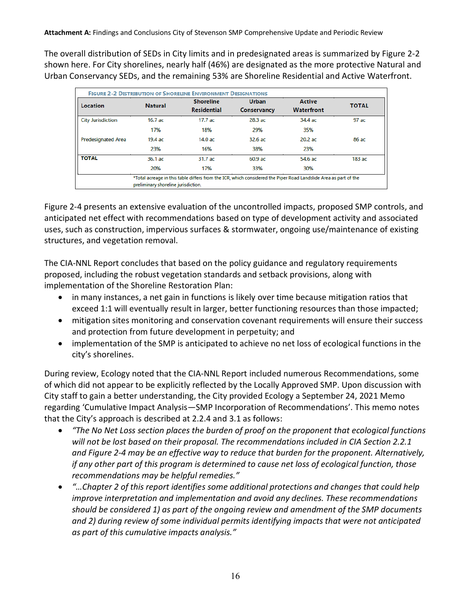The overall distribution of SEDs in City limits and in predesignated areas is summarized by Figure 2-2 shown here. For City shorelines, nearly half (46%) are designated as the more protective Natural and Urban Conservancy SEDs, and the remaining 53% are Shoreline Residential and Active Waterfront.

|                           |                                     | <b>FIGURE 2-2 DISTRIBUTION OF SHORELINE ENVIRONMENT DESIGNATIONS</b> |                                    |                                                                                                                  |              |
|---------------------------|-------------------------------------|----------------------------------------------------------------------|------------------------------------|------------------------------------------------------------------------------------------------------------------|--------------|
| Location                  | <b>Natural</b>                      | <b>Shoreline</b><br><b>Residential</b>                               | <b>Urban</b><br><b>Conservancy</b> | <b>Active</b><br><b>Waterfront</b>                                                                               | <b>TOTAL</b> |
| <b>City Jurisdiction</b>  | $16.7$ ac                           | 17.7ac                                                               | 28.3 ac                            | 34.4 ac                                                                                                          | 97 ac        |
|                           | 17%                                 | 18%                                                                  | 29%                                | 35%                                                                                                              |              |
| <b>Predesignated Area</b> | 19.4 ас                             | $14.0$ ac                                                            | $32.6$ ac                          | $20.2$ ac                                                                                                        | 86 ac        |
|                           | 23%                                 | 16%                                                                  | 38%                                | 23%                                                                                                              |              |
| <b>TOTAL</b>              | 36.1 ac                             | 31.7 ac                                                              | $60.9$ ac                          | 54.6 ac                                                                                                          | $183$ ac     |
|                           | 20%                                 | 17%                                                                  | 33%                                | 30%                                                                                                              |              |
|                           | preliminary shoreline jurisdiction. |                                                                      |                                    | *Total acreage in this table differs from the ICR, which considered the Piper Road Landslide Area as part of the |              |

Figure 2-4 presents an extensive evaluation of the uncontrolled impacts, proposed SMP controls, and anticipated net effect with recommendations based on type of development activity and associated uses, such as construction, impervious surfaces & stormwater, ongoing use/maintenance of existing structures, and vegetation removal.

The CIA-NNL Report concludes that based on the policy guidance and regulatory requirements proposed, including the robust vegetation standards and setback provisions, along with implementation of the Shoreline Restoration Plan:

- in many instances, a net gain in functions is likely over time because mitigation ratios that exceed 1:1 will eventually result in larger, better functioning resources than those impacted;
- mitigation sites monitoring and conservation covenant requirements will ensure their success and protection from future development in perpetuity; and
- implementation of the SMP is anticipated to achieve no net loss of ecological functions in the city's shorelines.

During review, Ecology noted that the CIA-NNL Report included numerous Recommendations, some of which did not appear to be explicitly reflected by the Locally Approved SMP. Upon discussion with City staff to gain a better understanding, the City provided Ecology a September 24, 2021 Memo regarding 'Cumulative Impact Analysis—SMP Incorporation of Recommendations'. This memo notes that the City's approach is described at 2.2.4 and 3.1 as follows:

- *"The No Net Loss section places the burden of proof on the proponent that ecological functions will not be lost based on their proposal. The recommendations included in CIA Section 2.2.1 and Figure 2-4 may be an effective way to reduce that burden for the proponent. Alternatively, if any other part of this program is determined to cause net loss of ecological function, those recommendations may be helpful remedies."*
- *"…Chapter 2 of this report identifies some additional protections and changes that could help improve interpretation and implementation and avoid any declines. These recommendations should be considered 1) as part of the ongoing review and amendment of the SMP documents and 2) during review of some individual permits identifying impacts that were not anticipated as part of this cumulative impacts analysis."*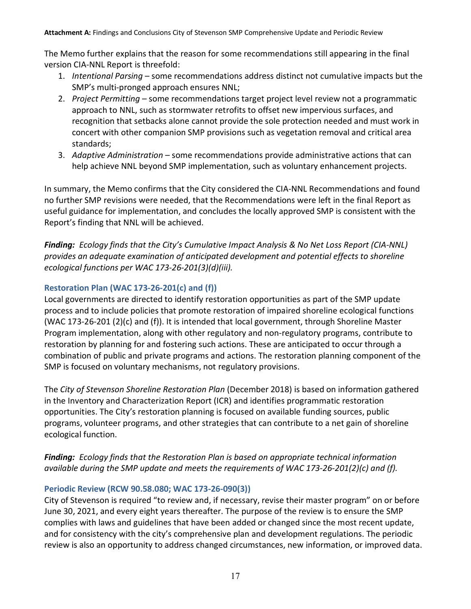The Memo further explains that the reason for some recommendations still appearing in the final version CIA-NNL Report is threefold:

- 1. *Intentional Parsing* some recommendations address distinct not cumulative impacts but the SMP's multi-pronged approach ensures NNL;
- 2. *Project Permitting* some recommendations target project level review not a programmatic approach to NNL, such as stormwater retrofits to offset new impervious surfaces, and recognition that setbacks alone cannot provide the sole protection needed and must work in concert with other companion SMP provisions such as vegetation removal and critical area standards;
- 3. *Adaptive Administration* some recommendations provide administrative actions that can help achieve NNL beyond SMP implementation, such as voluntary enhancement projects.

In summary, the Memo confirms that the City considered the CIA-NNL Recommendations and found no further SMP revisions were needed, that the Recommendations were left in the final Report as useful guidance for implementation, and concludes the locally approved SMP is consistent with the Report's finding that NNL will be achieved.

*Finding: Ecology finds that the City's Cumulative Impact Analysis & No Net Loss Report (CIA-NNL) provides an adequate examination of anticipated development and potential effects to shoreline ecological functions per WAC 173-26-201(3)(d)(iii).* 

## <span id="page-16-0"></span>**Restoration Plan (WAC 173-26-201(c) and (f))**

Local governments are directed to identify restoration opportunities as part of the SMP update process and to include policies that promote restoration of impaired shoreline ecological functions (WAC 173-26-201 (2)(c) and (f)). It is intended that local government, through Shoreline Master Program implementation, along with other regulatory and non-regulatory programs, contribute to restoration by planning for and fostering such actions. These are anticipated to occur through a combination of public and private programs and actions. The restoration planning component of the SMP is focused on voluntary mechanisms, not regulatory provisions.

The *City of Stevenson Shoreline Restoration Plan* (December 2018) is based on information gathered in the Inventory and Characterization Report (ICR) and identifies programmatic restoration opportunities. The City's restoration planning is focused on available funding sources, public programs, volunteer programs, and other strategies that can contribute to a net gain of shoreline ecological function.

*Finding: Ecology finds that the Restoration Plan is based on appropriate technical information available during the SMP update and meets the requirements of WAC 173-26-201(2)(c) and (f).*

## <span id="page-16-1"></span>**Periodic Review (RCW 90.58.080; WAC 173-26-090(3))**

City of Stevenson is required "to review and, if necessary, revise their master program" on or before June 30, 2021, and every eight years thereafter. The purpose of the review is to ensure the SMP complies with laws and guidelines that have been added or changed since the most recent update, and for consistency with the city's comprehensive plan and development regulations. The periodic review is also an opportunity to address changed circumstances, new information, or improved data.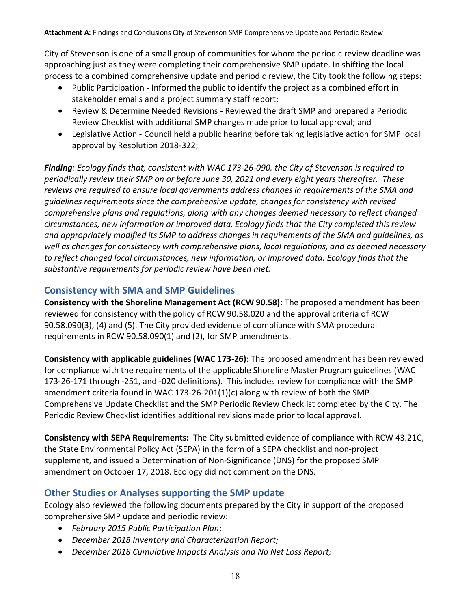City of Stevenson is one of a small group of communities for whom the periodic review deadline was approaching just as they were completing their comprehensive SMP update. In shifting the local process to a combined comprehensive update and periodic review, the City took the following steps:

- Public Participation Informed the public to identify the project as a combined effort in stakeholder emails and a project summary staff report;
- Review & Determine Needed Revisions Reviewed the draft SMP and prepared a Periodic Review Checklist with additional SMP changes made prior to local approval; and
- Legislative Action Council held a public hearing before taking legislative action for SMP local approval by Resolution 2018-322;

*Finding: Ecology finds that, consistent with WAC 173-26-090, the City of Stevenson is required to periodically review their SMP on or before June 30, 2021 and every eight years thereafter. These reviews are required to ensure local governments address changes in requirements of the SMA and guidelines requirements since the comprehensive update, changes for consistency with revised comprehensive plans and regulations, along with any changes deemed necessary to reflect changed circumstances, new information or improved data. Ecology finds that the City completed this review and appropriately modified its SMP to address changes in requirements of the SMA and guidelines, as well as changes for consistency with comprehensive plans, local regulations, and as deemed necessary to reflect changed local circumstances, new information, or improved data. Ecology finds that the substantive requirements for periodic review have been met.*

## <span id="page-17-0"></span>**Consistency with SMA and SMP Guidelines**

**Consistency with the Shoreline Management Act (RCW 90.58):** The proposed amendment has been reviewed for consistency with the policy of RCW 90.58.020 and the approval criteria of RCW 90.58.090(3), (4) and (5). The City provided evidence of compliance with SMA procedural requirements in RCW 90.58.090(1) and (2), for SMP amendments.

**Consistency with applicable guidelines (WAC 173-26):** The proposed amendment has been reviewed for compliance with the requirements of the applicable Shoreline Master Program guidelines (WAC 173-26-171 through -251, and -020 definitions). This includes review for compliance with the SMP amendment criteria found in WAC 173-26-201(1)(c) along with review of both the SMP Comprehensive Update Checklist and the SMP Periodic Review Checklist completed by the City. The Periodic Review Checklist identifies additional revisions made prior to local approval.

**Consistency with SEPA Requirements:** The City submitted evidence of compliance with RCW 43.21C, the State Environmental Policy Act (SEPA) in the form of a SEPA checklist and non-project supplement, and issued a Determination of Non-Significance (DNS) for the proposed SMP amendment on October 17, 2018. Ecology did not comment on the DNS.

# <span id="page-17-1"></span>**Other Studies or Analyses supporting the SMP update**

Ecology also reviewed the following documents prepared by the City in support of the proposed comprehensive SMP update and periodic review:

- *February 2015 Public Participation Plan*;
- *December 2018 Inventory and Characterization Report;*
- *December 2018 Cumulative Impacts Analysis and No Net Loss Report;*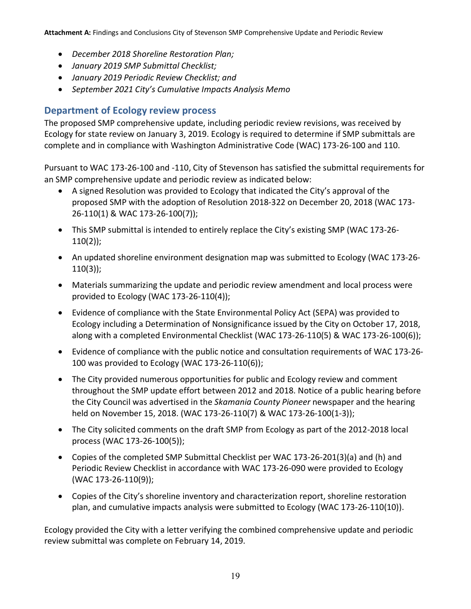- *December 2018 Shoreline Restoration Plan;*
- *January 2019 SMP Submittal Checklist;*
- *January 2019 Periodic Review Checklist; and*
- *September 2021 City's Cumulative Impacts Analysis Memo*

# <span id="page-18-0"></span>**Department of Ecology review process**

The proposed SMP comprehensive update, including periodic review revisions, was received by Ecology for state review on January 3, 2019. Ecology is required to determine if SMP submittals are complete and in compliance with Washington Administrative Code (WAC) 173-26-100 and 110.

Pursuant to WAC 173-26-100 and -110, City of Stevenson has satisfied the submittal requirements for an SMP comprehensive update and periodic review as indicated below:

- A signed Resolution was provided to Ecology that indicated the City's approval of the proposed SMP with the adoption of Resolution 2018-322 on December 20, 2018 (WAC 173- 26-110(1) & WAC 173-26-100(7));
- This SMP submittal is intended to entirely replace the City's existing SMP (WAC 173-26- 110(2));
- An updated shoreline environment designation map was submitted to Ecology (WAC 173-26- 110(3));
- Materials summarizing the update and periodic review amendment and local process were provided to Ecology (WAC 173-26-110(4));
- Evidence of compliance with the State Environmental Policy Act (SEPA) was provided to Ecology including a Determination of Nonsignificance issued by the City on October 17, 2018, along with a completed Environmental Checklist (WAC 173-26-110(5) & WAC 173-26-100(6));
- Evidence of compliance with the public notice and consultation requirements of WAC 173-26- 100 was provided to Ecology (WAC 173-26-110(6));
- The City provided numerous opportunities for public and Ecology review and comment throughout the SMP update effort between 2012 and 2018. Notice of a public hearing before the City Council was advertised in the *Skamania County Pioneer* newspaper and the hearing held on November 15, 2018. (WAC 173-26-110(7) & WAC 173-26-100(1-3));
- The City solicited comments on the draft SMP from Ecology as part of the 2012-2018 local process (WAC 173-26-100(5));
- Copies of the completed SMP Submittal Checklist per WAC 173-26-201(3)(a) and (h) and Periodic Review Checklist in accordance with WAC 173-26-090 were provided to Ecology (WAC 173-26-110(9));
- Copies of the City's shoreline inventory and characterization report, shoreline restoration plan, and cumulative impacts analysis were submitted to Ecology (WAC 173-26-110(10)).

Ecology provided the City with a letter verifying the combined comprehensive update and periodic review submittal was complete on February 14, 2019.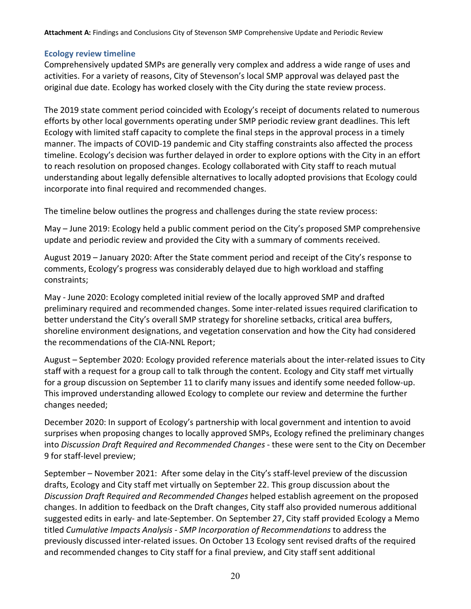#### <span id="page-19-0"></span>**Ecology review timeline**

Comprehensively updated SMPs are generally very complex and address a wide range of uses and activities. For a variety of reasons, City of Stevenson's local SMP approval was delayed past the original due date. Ecology has worked closely with the City during the state review process.

The 2019 state comment period coincided with Ecology's receipt of documents related to numerous efforts by other local governments operating under SMP periodic review grant deadlines. This left Ecology with limited staff capacity to complete the final steps in the approval process in a timely manner. The impacts of COVID-19 pandemic and City staffing constraints also affected the process timeline. Ecology's decision was further delayed in order to explore options with the City in an effort to reach resolution on proposed changes. Ecology collaborated with City staff to reach mutual understanding about legally defensible alternatives to locally adopted provisions that Ecology could incorporate into final required and recommended changes.

The timeline below outlines the progress and challenges during the state review process:

May – June 2019: Ecology held a public comment period on the City's proposed SMP comprehensive update and periodic review and provided the City with a summary of comments received.

August 2019 – January 2020: After the State comment period and receipt of the City's response to comments, Ecology's progress was considerably delayed due to high workload and staffing constraints;

May - June 2020: Ecology completed initial review of the locally approved SMP and drafted preliminary required and recommended changes. Some inter-related issues required clarification to better understand the City's overall SMP strategy for shoreline setbacks, critical area buffers, shoreline environment designations, and vegetation conservation and how the City had considered the recommendations of the CIA-NNL Report;

August – September 2020: Ecology provided reference materials about the inter-related issues to City staff with a request for a group call to talk through the content. Ecology and City staff met virtually for a group discussion on September 11 to clarify many issues and identify some needed follow-up. This improved understanding allowed Ecology to complete our review and determine the further changes needed;

December 2020: In support of Ecology's partnership with local government and intention to avoid surprises when proposing changes to locally approved SMPs, Ecology refined the preliminary changes into *Discussion Draft Required and Recommended Changes* - these were sent to the City on December 9 for staff-level preview;

September – November 2021: After some delay in the City's staff-level preview of the discussion drafts, Ecology and City staff met virtually on September 22. This group discussion about the *Discussion Draft Required and Recommended Changes* helped establish agreement on the proposed changes. In addition to feedback on the Draft changes, City staff also provided numerous additional suggested edits in early- and late-September. On September 27, City staff provided Ecology a Memo titled *Cumulative Impacts Analysis - SMP Incorporation of Recommendations* to address the previously discussed inter-related issues. On October 13 Ecology sent revised drafts of the required and recommended changes to City staff for a final preview, and City staff sent additional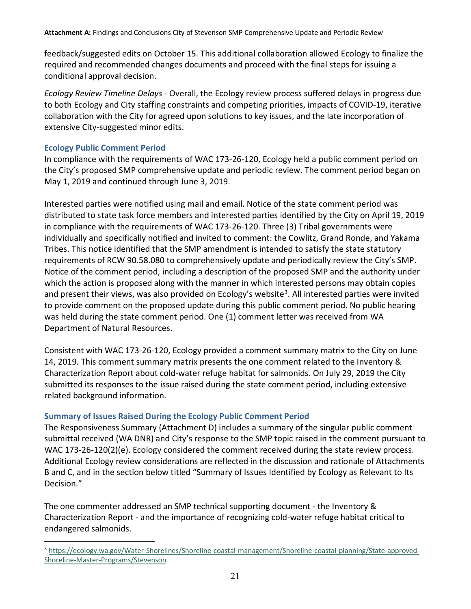feedback/suggested edits on October 15. This additional collaboration allowed Ecology to finalize the required and recommended changes documents and proceed with the final steps for issuing a conditional approval decision.

*Ecology Review Timeline Delays* - Overall, the Ecology review process suffered delays in progress due to both Ecology and City staffing constraints and competing priorities, impacts of COVID-19, iterative collaboration with the City for agreed upon solutions to key issues, and the late incorporation of extensive City-suggested minor edits.

## <span id="page-20-0"></span>**Ecology Public Comment Period**

 $\overline{a}$ 

In compliance with the requirements of WAC 173-26-120, Ecology held a public comment period on the City's proposed SMP comprehensive update and periodic review. The comment period began on May 1, 2019 and continued through June 3, 2019.

Interested parties were notified using mail and email. Notice of the state comment period was distributed to state task force members and interested parties identified by the City on April 19, 2019 in compliance with the requirements of WAC 173-26-120. Three (3) Tribal governments were individually and specifically notified and invited to comment: the Cowlitz, Grand Ronde, and Yakama Tribes. This notice identified that the SMP amendment is intended to satisfy the state statutory requirements of RCW 90.58.080 to comprehensively update and periodically review the City's SMP. Notice of the comment period, including a description of the proposed SMP and the authority under which the action is proposed along with the manner in which interested persons may obtain copies and present their views, was also provided on Ecology's website<sup>[3](#page-20-1)</sup>. All interested parties were invited to provide comment on the proposed update during this public comment period. No public hearing was held during the state comment period. One (1) comment letter was received from WA Department of Natural Resources.

Consistent with WAC 173-26-120, Ecology provided a comment summary matrix to the City on June 14, 2019. This comment summary matrix presents the one comment related to the Inventory & Characterization Report about cold-water refuge habitat for salmonids. On July 29, 2019 the City submitted its responses to the issue raised during the state comment period, including extensive related background information.

## **Summary of Issues Raised During the Ecology Public Comment Period**

The Responsiveness Summary (Attachment D) includes a summary of the singular public comment submittal received (WA DNR) and City's response to the SMP topic raised in the comment pursuant to WAC 173-26-120(2)(e). Ecology considered the comment received during the state review process. Additional Ecology review considerations are reflected in the discussion and rationale of Attachments B and C, and in the section below titled "Summary of Issues Identified by Ecology as Relevant to Its Decision."

The one commenter addressed an SMP technical supporting document - the Inventory & Characterization Report - and the importance of recognizing cold-water refuge habitat critical to endangered salmonids.

<span id="page-20-1"></span><sup>3</sup> [https://ecology.wa.gov/Water-Shorelines/Shoreline-coastal-management/Shoreline-coastal-planning/State-approved-](https://ecology.wa.gov/Water-Shorelines/Shoreline-coastal-management/Shoreline-coastal-planning/State-approved-Shoreline-Master-Programs/Stevenson)[Shoreline-Master-Programs/Stevenson](https://ecology.wa.gov/Water-Shorelines/Shoreline-coastal-management/Shoreline-coastal-planning/State-approved-Shoreline-Master-Programs/Stevenson)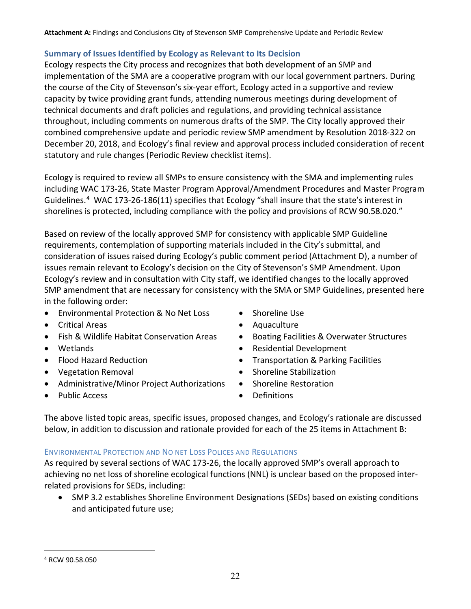## <span id="page-21-0"></span>**Summary of Issues Identified by Ecology as Relevant to Its Decision**

Ecology respects the City process and recognizes that both development of an SMP and implementation of the SMA are a cooperative program with our local government partners. During the course of the City of Stevenson's six-year effort, Ecology acted in a supportive and review capacity by twice providing grant funds, attending numerous meetings during development of technical documents and draft policies and regulations, and providing technical assistance throughout, including comments on numerous drafts of the SMP. The City locally approved their combined comprehensive update and periodic review SMP amendment by Resolution 2018-322 on December 20, 2018, and Ecology's final review and approval process included consideration of recent statutory and rule changes (Periodic Review checklist items).

Ecology is required to review all SMPs to ensure consistency with the SMA and implementing rules including WAC 173-26, State Master Program Approval/Amendment Procedures and Master Program Guidelines.<sup>[4](#page-21-1)</sup> WAC 173-26-186(11) specifies that Ecology "shall insure that the state's interest in shorelines is protected, including compliance with the policy and provisions of RCW 90.58.020."

Based on review of the locally approved SMP for consistency with applicable SMP Guideline requirements, contemplation of supporting materials included in the City's submittal, and consideration of issues raised during Ecology's public comment period (Attachment D), a number of issues remain relevant to Ecology's decision on the City of Stevenson's SMP Amendment. Upon Ecology's review and in consultation with City staff, we identified changes to the locally approved SMP amendment that are necessary for consistency with the SMA or SMP Guidelines, presented here in the following order:

- Environmental Protection & No Net Loss
- Critical Areas
- Fish & Wildlife Habitat Conservation Areas
- Wetlands
- Flood Hazard Reduction
- Vegetation Removal
- Administrative/Minor Project Authorizations
- Public Access
- Shoreline Use
- Aquaculture
- Boating Facilities & Overwater Structures
- Residential Development
- Transportation & Parking Facilities
- Shoreline Stabilization
- Shoreline Restoration
- Definitions

The above listed topic areas, specific issues, proposed changes, and Ecology's rationale are discussed below, in addition to discussion and rationale provided for each of the 25 items in Attachment B:

## ENVIRONMENTAL PROTECTION AND NO NET LOSS POLICES AND REGULATIONS

As required by several sections of WAC 173-26, the locally approved SMP's overall approach to achieving no net loss of shoreline ecological functions (NNL) is unclear based on the proposed interrelated provisions for SEDs, including:

• SMP 3.2 establishes Shoreline Environment Designations (SEDs) based on existing conditions and anticipated future use;

 $\overline{a}$ 

<span id="page-21-1"></span><sup>4</sup> RCW 90.58.050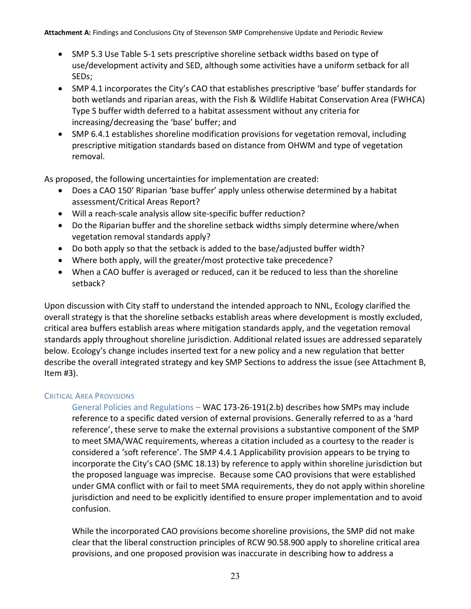- SMP 5.3 Use Table 5-1 sets prescriptive shoreline setback widths based on type of use/development activity and SED, although some activities have a uniform setback for all SEDs;
- SMP 4.1 incorporates the City's CAO that establishes prescriptive 'base' buffer standards for both wetlands and riparian areas, with the Fish & Wildlife Habitat Conservation Area (FWHCA) Type S buffer width deferred to a habitat assessment without any criteria for increasing/decreasing the 'base' buffer; and
- SMP 6.4.1 establishes shoreline modification provisions for vegetation removal, including prescriptive mitigation standards based on distance from OHWM and type of vegetation removal.

As proposed, the following uncertainties for implementation are created:

- Does a CAO 150' Riparian 'base buffer' apply unless otherwise determined by a habitat assessment/Critical Areas Report?
- Will a reach-scale analysis allow site-specific buffer reduction?
- Do the Riparian buffer and the shoreline setback widths simply determine where/when vegetation removal standards apply?
- Do both apply so that the setback is added to the base/adjusted buffer width?
- Where both apply, will the greater/most protective take precedence?
- When a CAO buffer is averaged or reduced, can it be reduced to less than the shoreline setback?

Upon discussion with City staff to understand the intended approach to NNL, Ecology clarified the overall strategy is that the shoreline setbacks establish areas where development is mostly excluded, critical area buffers establish areas where mitigation standards apply, and the vegetation removal standards apply throughout shoreline jurisdiction. Additional related issues are addressed separately below. Ecology's change includes inserted text for a new policy and a new regulation that better describe the overall integrated strategy and key SMP Sections to address the issue (see Attachment B, Item #3).

#### CRITICAL AREA PROVISIONS

General Policies and Regulations – WAC 173-26-191(2.b) describes how SMPs may include reference to a specific dated version of external provisions. Generally referred to as a 'hard reference', these serve to make the external provisions a substantive component of the SMP to meet SMA/WAC requirements, whereas a citation included as a courtesy to the reader is considered a 'soft reference'. The SMP 4.4.1 Applicability provision appears to be trying to incorporate the City's CAO (SMC 18.13) by reference to apply within shoreline jurisdiction but the proposed language was imprecise. Because some CAO provisions that were established under GMA conflict with or fail to meet SMA requirements, they do not apply within shoreline jurisdiction and need to be explicitly identified to ensure proper implementation and to avoid confusion.

While the incorporated CAO provisions become shoreline provisions, the SMP did not make clear that the liberal construction principles of RCW 90.58.900 apply to shoreline critical area provisions, and one proposed provision was inaccurate in describing how to address a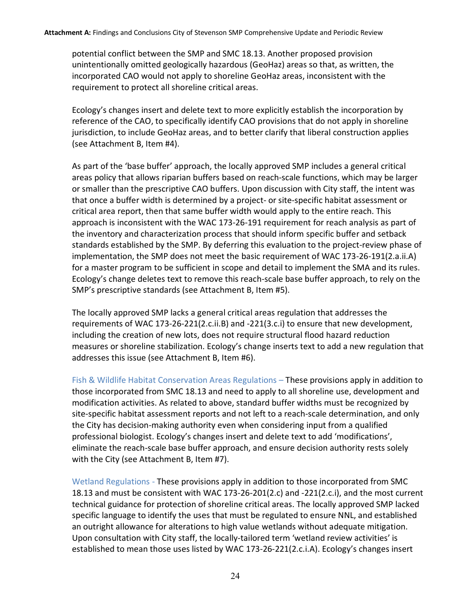potential conflict between the SMP and SMC 18.13. Another proposed provision unintentionally omitted geologically hazardous (GeoHaz) areas so that, as written, the incorporated CAO would not apply to shoreline GeoHaz areas, inconsistent with the requirement to protect all shoreline critical areas.

Ecology's changes insert and delete text to more explicitly establish the incorporation by reference of the CAO, to specifically identify CAO provisions that do not apply in shoreline jurisdiction, to include GeoHaz areas, and to better clarify that liberal construction applies (see Attachment B, Item #4).

As part of the 'base buffer' approach, the locally approved SMP includes a general critical areas policy that allows riparian buffers based on reach-scale functions, which may be larger or smaller than the prescriptive CAO buffers. Upon discussion with City staff, the intent was that once a buffer width is determined by a project- or site-specific habitat assessment or critical area report, then that same buffer width would apply to the entire reach. This approach is inconsistent with the WAC 173-26-191 requirement for reach analysis as part of the inventory and characterization process that should inform specific buffer and setback standards established by the SMP. By deferring this evaluation to the project-review phase of implementation, the SMP does not meet the basic requirement of WAC 173-26-191(2.a.ii.A) for a master program to be sufficient in scope and detail to implement the SMA and its rules. Ecology's change deletes text to remove this reach-scale base buffer approach, to rely on the SMP's prescriptive standards (see Attachment B, Item #5).

The locally approved SMP lacks a general critical areas regulation that addresses the requirements of WAC 173-26-221(2.c.ii.B) and -221(3.c.i) to ensure that new development, including the creation of new lots, does not require structural flood hazard reduction measures or shoreline stabilization. Ecology's change inserts text to add a new regulation that addresses this issue (see Attachment B, Item #6).

Fish & Wildlife Habitat Conservation Areas Regulations – These provisions apply in addition to those incorporated from SMC 18.13 and need to apply to all shoreline use, development and modification activities. As related to above, standard buffer widths must be recognized by site-specific habitat assessment reports and not left to a reach-scale determination, and only the City has decision-making authority even when considering input from a qualified professional biologist. Ecology's changes insert and delete text to add 'modifications', eliminate the reach-scale base buffer approach, and ensure decision authority rests solely with the City (see Attachment B, Item #7).

Wetland Regulations - These provisions apply in addition to those incorporated from SMC 18.13 and must be consistent with WAC 173-26-201(2.c) and -221(2.c.i), and the most current technical guidance for protection of shoreline critical areas. The locally approved SMP lacked specific language to identify the uses that must be regulated to ensure NNL, and established an outright allowance for alterations to high value wetlands without adequate mitigation. Upon consultation with City staff, the locally-tailored term 'wetland review activities' is established to mean those uses listed by WAC 173-26-221(2.c.i.A). Ecology's changes insert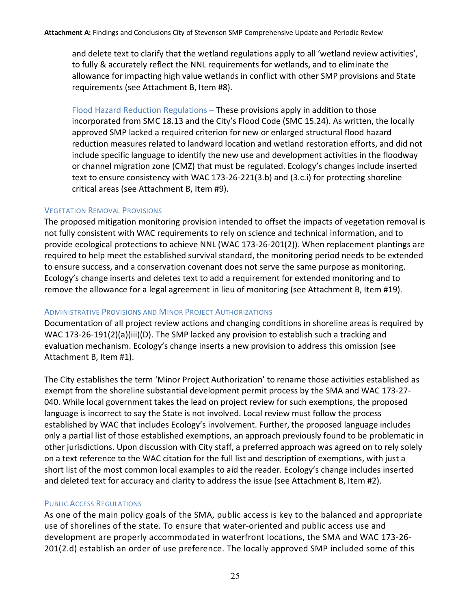and delete text to clarify that the wetland regulations apply to all 'wetland review activities', to fully & accurately reflect the NNL requirements for wetlands, and to eliminate the allowance for impacting high value wetlands in conflict with other SMP provisions and State requirements (see Attachment B, Item #8).

Flood Hazard Reduction Regulations – These provisions apply in addition to those incorporated from SMC 18.13 and the City's Flood Code (SMC 15.24). As written, the locally approved SMP lacked a required criterion for new or enlarged structural flood hazard reduction measures related to landward location and wetland restoration efforts, and did not include specific language to identify the new use and development activities in the floodway or channel migration zone (CMZ) that must be regulated. Ecology's changes include inserted text to ensure consistency with WAC 173-26-221(3.b) and (3.c.i) for protecting shoreline critical areas (see Attachment B, Item #9).

#### VEGETATION REMOVAL PROVISIONS

The proposed mitigation monitoring provision intended to offset the impacts of vegetation removal is not fully consistent with WAC requirements to rely on science and technical information, and to provide ecological protections to achieve NNL (WAC 173-26-201(2)). When replacement plantings are required to help meet the established survival standard, the monitoring period needs to be extended to ensure success, and a conservation covenant does not serve the same purpose as monitoring. Ecology's change inserts and deletes text to add a requirement for extended monitoring and to remove the allowance for a legal agreement in lieu of monitoring (see Attachment B, Item #19).

#### ADMINISTRATIVE PROVISIONS AND MINOR PROJECT AUTHORIZATIONS

Documentation of all project review actions and changing conditions in shoreline areas is required by WAC 173-26-191(2)(a)(iii)(D). The SMP lacked any provision to establish such a tracking and evaluation mechanism. Ecology's change inserts a new provision to address this omission (see Attachment B, Item #1).

The City establishes the term 'Minor Project Authorization' to rename those activities established as exempt from the shoreline substantial development permit process by the SMA and WAC 173-27- 040. While local government takes the lead on project review for such exemptions, the proposed language is incorrect to say the State is not involved. Local review must follow the process established by WAC that includes Ecology's involvement. Further, the proposed language includes only a partial list of those established exemptions, an approach previously found to be problematic in other jurisdictions. Upon discussion with City staff, a preferred approach was agreed on to rely solely on a text reference to the WAC citation for the full list and description of exemptions, with just a short list of the most common local examples to aid the reader. Ecology's change includes inserted and deleted text for accuracy and clarity to address the issue (see Attachment B, Item #2).

#### PUBLIC ACCESS REGULATIONS

As one of the main policy goals of the SMA, public access is key to the balanced and appropriate use of shorelines of the state. To ensure that water-oriented and public access use and development are properly accommodated in waterfront locations, the SMA and WAC 173-26- 201(2.d) establish an order of use preference. The locally approved SMP included some of this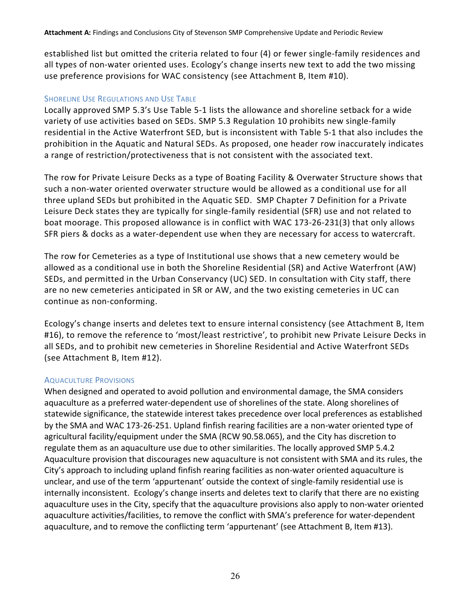established list but omitted the criteria related to four (4) or fewer single-family residences and all types of non-water oriented uses. Ecology's change inserts new text to add the two missing use preference provisions for WAC consistency (see Attachment B, Item #10).

#### SHORELINE USE REGULATIONS AND USE TABLE

Locally approved SMP 5.3's Use Table 5-1 lists the allowance and shoreline setback for a wide variety of use activities based on SEDs. SMP 5.3 Regulation 10 prohibits new single-family residential in the Active Waterfront SED, but is inconsistent with Table 5-1 that also includes the prohibition in the Aquatic and Natural SEDs. As proposed, one header row inaccurately indicates a range of restriction/protectiveness that is not consistent with the associated text.

The row for Private Leisure Decks as a type of Boating Facility & Overwater Structure shows that such a non-water oriented overwater structure would be allowed as a conditional use for all three upland SEDs but prohibited in the Aquatic SED. SMP Chapter 7 Definition for a Private Leisure Deck states they are typically for single-family residential (SFR) use and not related to boat moorage. This proposed allowance is in conflict with WAC 173-26-231(3) that only allows SFR piers & docks as a water-dependent use when they are necessary for access to watercraft.

The row for Cemeteries as a type of Institutional use shows that a new cemetery would be allowed as a conditional use in both the Shoreline Residential (SR) and Active Waterfront (AW) SEDs, and permitted in the Urban Conservancy (UC) SED. In consultation with City staff, there are no new cemeteries anticipated in SR or AW, and the two existing cemeteries in UC can continue as non-conforming.

Ecology's change inserts and deletes text to ensure internal consistency (see Attachment B, Item #16), to remove the reference to 'most/least restrictive', to prohibit new Private Leisure Decks in all SEDs, and to prohibit new cemeteries in Shoreline Residential and Active Waterfront SEDs (see Attachment B, Item #12).

#### AQUACULTURE PROVISIONS

When designed and operated to avoid pollution and environmental damage, the SMA considers aquaculture as a preferred water-dependent use of shorelines of the state. Along shorelines of statewide significance, the statewide interest takes precedence over local preferences as established by the SMA and WAC 173-26-251. Upland finfish rearing facilities are a non-water oriented type of agricultural facility/equipment under the SMA (RCW 90.58.065), and the City has discretion to regulate them as an aquaculture use due to other similarities. The locally approved SMP 5.4.2 Aquaculture provision that discourages new aquaculture is not consistent with SMA and its rules, the City's approach to including upland finfish rearing facilities as non-water oriented aquaculture is unclear, and use of the term 'appurtenant' outside the context of single-family residential use is internally inconsistent. Ecology's change inserts and deletes text to clarify that there are no existing aquaculture uses in the City, specify that the aquaculture provisions also apply to non-water oriented aquaculture activities/facilities, to remove the conflict with SMA's preference for water-dependent aquaculture, and to remove the conflicting term 'appurtenant' (see Attachment B, Item #13).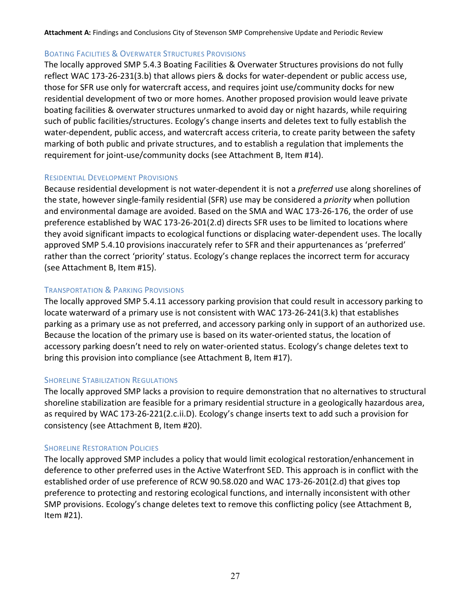#### BOATING FACILITIES & OVERWATER STRUCTURES PROVISIONS

The locally approved SMP 5.4.3 Boating Facilities & Overwater Structures provisions do not fully reflect WAC 173-26-231(3.b) that allows piers & docks for water-dependent or public access use, those for SFR use only for watercraft access, and requires joint use/community docks for new residential development of two or more homes. Another proposed provision would leave private boating facilities & overwater structures unmarked to avoid day or night hazards, while requiring such of public facilities/structures. Ecology's change inserts and deletes text to fully establish the water-dependent, public access, and watercraft access criteria, to create parity between the safety marking of both public and private structures, and to establish a regulation that implements the requirement for joint-use/community docks (see Attachment B, Item #14).

#### RESIDENTIAL DEVELOPMENT PROVISIONS

Because residential development is not water-dependent it is not a *preferred* use along shorelines of the state, however single-family residential (SFR) use may be considered a *priority* when pollution and environmental damage are avoided. Based on the SMA and WAC 173-26-176, the order of use preference established by WAC 173-26-201(2.d) directs SFR uses to be limited to locations where they avoid significant impacts to ecological functions or displacing water-dependent uses. The locally approved SMP 5.4.10 provisions inaccurately refer to SFR and their appurtenances as 'preferred' rather than the correct 'priority' status. Ecology's change replaces the incorrect term for accuracy (see Attachment B, Item #15).

#### TRANSPORTATION & PARKING PROVISIONS

The locally approved SMP 5.4.11 accessory parking provision that could result in accessory parking to locate waterward of a primary use is not consistent with WAC 173-26-241(3.k) that establishes parking as a primary use as not preferred, and accessory parking only in support of an authorized use. Because the location of the primary use is based on its water-oriented status, the location of accessory parking doesn't need to rely on water-oriented status. Ecology's change deletes text to bring this provision into compliance (see Attachment B, Item #17).

## SHORELINE STABILIZATION REGULATIONS

The locally approved SMP lacks a provision to require demonstration that no alternatives to structural shoreline stabilization are feasible for a primary residential structure in a geologically hazardous area, as required by WAC 173-26-221(2.c.ii.D). Ecology's change inserts text to add such a provision for consistency (see Attachment B, Item #20).

#### **SHORELINE RESTORATION POLICIES**

The locally approved SMP includes a policy that would limit ecological restoration/enhancement in deference to other preferred uses in the Active Waterfront SED. This approach is in conflict with the established order of use preference of RCW 90.58.020 and WAC 173-26-201(2.d) that gives top preference to protecting and restoring ecological functions, and internally inconsistent with other SMP provisions. Ecology's change deletes text to remove this conflicting policy (see Attachment B, Item #21).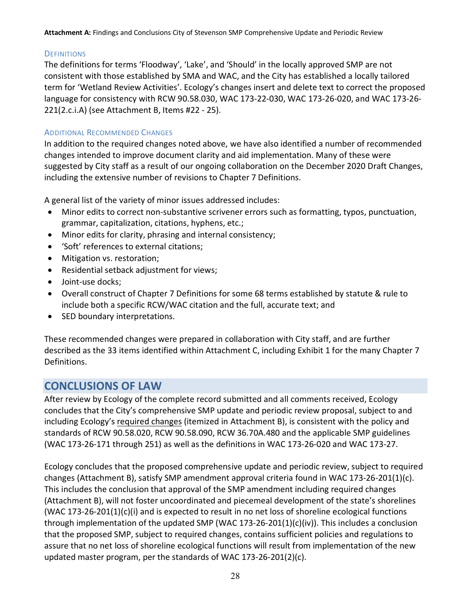#### **DEFINITIONS**

The definitions for terms 'Floodway', 'Lake', and 'Should' in the locally approved SMP are not consistent with those established by SMA and WAC, and the City has established a locally tailored term for 'Wetland Review Activities'. Ecology's changes insert and delete text to correct the proposed language for consistency with RCW 90.58.030, WAC 173-22-030, WAC 173-26-020, and WAC 173-26- 221(2.c.i.A) (see Attachment B, Items #22 - 25).

#### ADDITIONAL RECOMMENDED CHANGES

In addition to the required changes noted above, we have also identified a number of recommended changes intended to improve document clarity and aid implementation. Many of these were suggested by City staff as a result of our ongoing collaboration on the December 2020 Draft Changes, including the extensive number of revisions to Chapter 7 Definitions.

A general list of the variety of minor issues addressed includes:

- Minor edits to correct non-substantive scrivener errors such as formatting, typos, punctuation, grammar, capitalization, citations, hyphens, etc.;
- Minor edits for clarity, phrasing and internal consistency;
- 'Soft' references to external citations;
- Mitigation vs. restoration;
- Residential setback adjustment for views;
- Joint-use docks;
- Overall construct of Chapter 7 Definitions for some 68 terms established by statute & rule to include both a specific RCW/WAC citation and the full, accurate text; and
- SED boundary interpretations.

These recommended changes were prepared in collaboration with City staff, and are further described as the 33 items identified within Attachment C, including Exhibit 1 for the many Chapter 7 Definitions.

# <span id="page-27-0"></span>**CONCLUSIONS OF LAW**

After review by Ecology of the complete record submitted and all comments received, Ecology concludes that the City's comprehensive SMP update and periodic review proposal, subject to and including Ecology's required changes (itemized in Attachment B), is consistent with the policy and standards of RCW 90.58.020, RCW 90.58.090, RCW 36.70A.480 and the applicable SMP guidelines (WAC 173-26-171 through 251) as well as the definitions in WAC 173-26-020 and WAC 173-27.

Ecology concludes that the proposed comprehensive update and periodic review, subject to required changes (Attachment B), satisfy SMP amendment approval criteria found in WAC 173-26-201(1)(c). This includes the conclusion that approval of the SMP amendment including required changes (Attachment B), will not foster uncoordinated and piecemeal development of the state's shorelines (WAC 173-26-201(1)(c)(i) and is expected to result in no net loss of shoreline ecological functions through implementation of the updated SMP (WAC 173-26-201(1)(c)(iv)). This includes a conclusion that the proposed SMP, subject to required changes, contains sufficient policies and regulations to assure that no net loss of shoreline ecological functions will result from implementation of the new updated master program, per the standards of WAC 173-26-201(2)(c).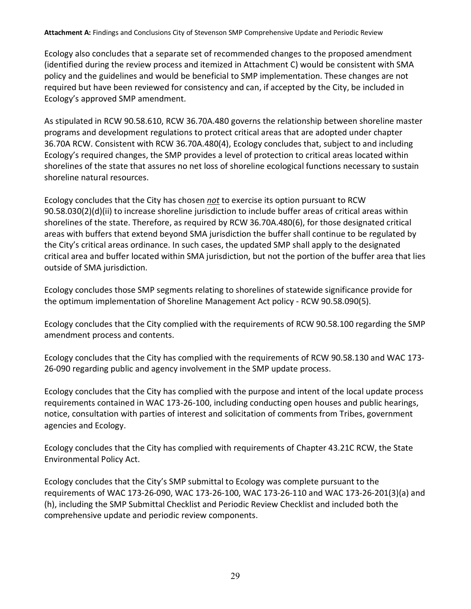Ecology also concludes that a separate set of recommended changes to the proposed amendment (identified during the review process and itemized in Attachment C) would be consistent with SMA policy and the guidelines and would be beneficial to SMP implementation. These changes are not required but have been reviewed for consistency and can, if accepted by the City, be included in Ecology's approved SMP amendment.

As stipulated in RCW 90.58.610, RCW 36.70A.480 governs the relationship between shoreline master programs and development regulations to protect critical areas that are adopted under chapter 36.70A RCW. Consistent with RCW 36.70A.480(4), Ecology concludes that, subject to and including Ecology's required changes, the SMP provides a level of protection to critical areas located within shorelines of the state that assures no net loss of shoreline ecological functions necessary to sustain shoreline natural resources.

Ecology concludes that the City has chosen *not* to exercise its option pursuant to RCW 90.58.030(2)(d)(ii) to increase shoreline jurisdiction to include buffer areas of critical areas within shorelines of the state. Therefore, as required by RCW 36.70A.480(6), for those designated critical areas with buffers that extend beyond SMA jurisdiction the buffer shall continue to be regulated by the City's critical areas ordinance. In such cases, the updated SMP shall apply to the designated critical area and buffer located within SMA jurisdiction, but not the portion of the buffer area that lies outside of SMA jurisdiction.

Ecology concludes those SMP segments relating to shorelines of statewide significance provide for the optimum implementation of Shoreline Management Act policy - RCW 90.58.090(5).

Ecology concludes that the City complied with the requirements of RCW 90.58.100 regarding the SMP amendment process and contents.

Ecology concludes that the City has complied with the requirements of RCW 90.58.130 and WAC 173- 26-090 regarding public and agency involvement in the SMP update process.

Ecology concludes that the City has complied with the purpose and intent of the local update process requirements contained in WAC 173-26-100, including conducting open houses and public hearings, notice, consultation with parties of interest and solicitation of comments from Tribes, government agencies and Ecology.

Ecology concludes that the City has complied with requirements of Chapter 43.21C RCW, the State Environmental Policy Act.

Ecology concludes that the City's SMP submittal to Ecology was complete pursuant to the requirements of WAC 173-26-090, WAC 173-26-100, WAC 173-26-110 and WAC 173-26-201(3)(a) and (h), including the SMP Submittal Checklist and Periodic Review Checklist and included both the comprehensive update and periodic review components.